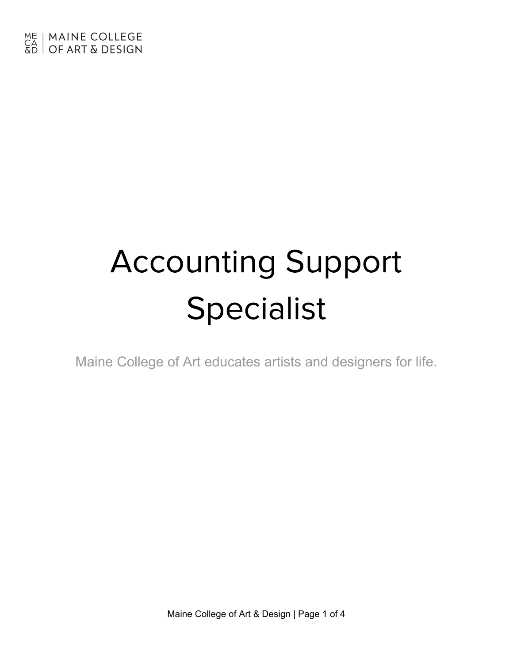# Accounting Support Specialist

Maine College of Art educates artists and designers for life.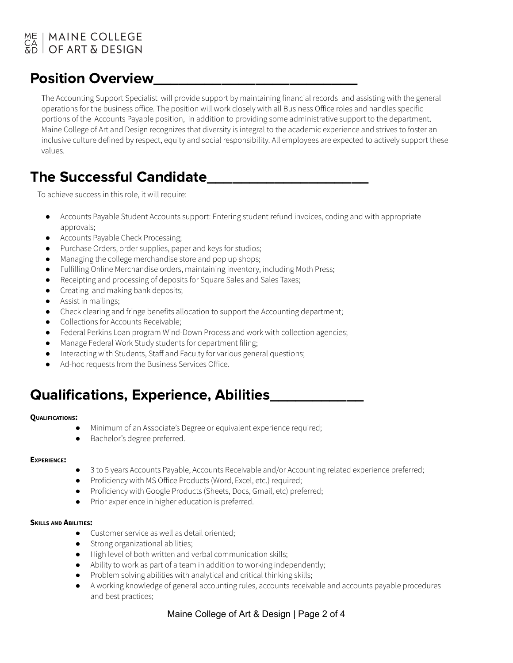### ME | MAINE COLLEGE<br>CA | OF ART & DESIGN | MAINE COLLEGE

### Position Overview\_\_\_\_\_\_\_\_\_\_\_\_\_\_\_\_\_\_\_\_\_\_\_\_

The Accounting Support Specialist will provide support by maintaining financial records and assisting with the general operations for the business office. The position will work closely with all Business Office roles and handles specific portions of the Accounts Payable position, in addition to providing some administrative support to the department. Maine College of Art and Design recognizes that diversity is integral to the academic experience and strives to foster an inclusive culture defined by respect, equity and social responsibility. All employees are expected to actively support these values.

# The Successful Candidate\_\_\_\_\_\_\_\_\_\_\_\_\_\_\_\_\_\_\_

To achieve success in this role, it will require:

- Accounts Payable Student Accounts support: Entering student refund invoices, coding and with appropriate approvals;
- Accounts Payable Check Processing;
- Purchase Orders, order supplies, paper and keys for studios;
- Managing the college merchandise store and pop up shops;
- Fulfilling Online Merchandise orders, maintaining inventory, including Moth Press;
- Receipting and processing of deposits for Square Sales and Sales Taxes;
- Creating and making bank deposits;
- Assist in mailings;
- Check clearing and fringe benefits allocation to support the Accounting department;
- Collections for Accounts Receivable;
- Federal Perkins Loan program Wind-Down Process and work with collection agencies;
- Manage Federal Work Study students for department filing;
- Interacting with Students, Staff and Faculty for various general questions;
- Ad-hoc requests from the Business Services Office.

### Qualifications, Experience, Abilities\_\_\_\_\_\_\_\_\_\_\_

#### **QUALIFICATIONS:**

- Minimum of an Associate's Degree or equivalent experience required;
- Bachelor's degree preferred.

#### **EXPERIENCE:**

- 3 to 5 years Accounts Payable, Accounts Receivable and/or Accounting related experience preferred;
- Proficiency with MS Office Products (Word, Excel, etc.) required;
- Proficiency with Google Products (Sheets, Docs, Gmail, etc) preferred;
- Prior experience in higher education is preferred.

#### **SKILLS AND ABILITIES:**

- Customer service as well as detail oriented;
- Strong organizational abilities;
- High level of both written and verbal communication skills;
- Ability to work as part of a team in addition to working independently;
- Problem solving abilities with analytical and critical thinking skills;
- A working knowledge of general accounting rules, accounts receivable and accounts payable procedures and best practices;

### Maine College of Art & Design | Page 2 of 4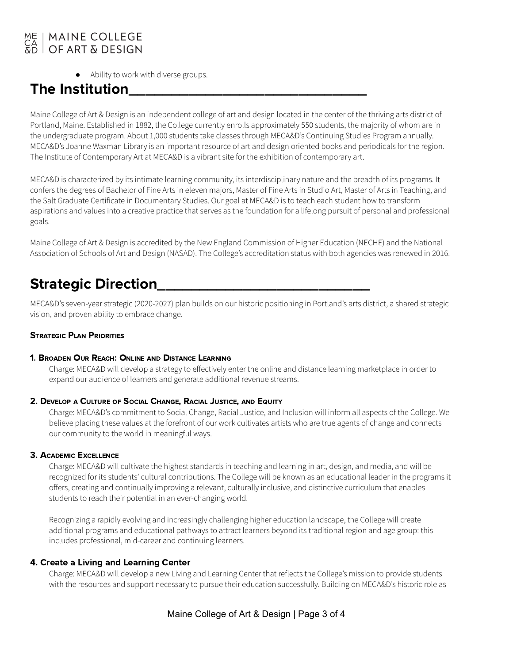### **MAINE COLLEGE** OF ART & DESIGN

● Ability to work with diverse groups.

## The Institution

Maine College of Art & Design is an independent college of art and design located in the center of the thriving arts district of Portland, Maine. Established in 1882, the College currently enrolls approximately 550 students, the majority of whom are in the undergraduate program. About 1,000 students take classes through MECA&D's Continuing Studies Program annually. MECA&D's Joanne Waxman Library is an important resource of art and design oriented books and periodicals for the region. The Institute of Contemporary Art at MECA&D is a vibrant site for the exhibition of contemporary art.

MECA&D is characterized by its intimate learning community, its interdisciplinary nature and the breadth of its programs. It confers the degrees of Bachelor of Fine Arts in eleven majors, Master of Fine Arts in Studio Art, Master of Arts in Teaching, and the Salt Graduate Certificate in Documentary Studies. Our goal at MECA&D is to teach each student how to transform aspirations and values into a creative practice that serves as the foundation for a lifelong pursuit of personal and professional goals.

Maine College of Art & Design is accredited by the New England Commission of Higher Education (NECHE) and the National Association of Schools of Art and Design (NASAD). The College's accreditation status with both agencies was renewed in 2016.

### **Strategic Direction**

MECA&D's seven-year strategic (2020-2027) plan builds on our historic positioning in Portland's arts district, a shared strategic vision, and proven ability to embrace change.

#### STRATEGIC PLAN PRIORITIES

#### 1. BROADEN OUR REACH: ONLINE AND DISTANCE LEARNING

Charge: MECA&D will develop a strategy to effectively enter the online and distance learning marketplace in order to expand our audience of learners and generate additional revenue streams.

#### 2. DEVELOP <sup>A</sup> CULTURE OF SOCIAL CHANGE, RACIAL JUSTICE, AND EQUITY

Charge: MECA&D's commitment to Social Change, Racial Justice, and Inclusion will inform all aspects of the College. We believe placing these values at the forefront of our work cultivates artists who are true agents of change and connects our community to the world in meaningful ways.

### 3. ACADEMIC EXCELLENCE

Charge: MECA&D will cultivate the highest standards in teaching and learning in art, design, and media, and will be recognized for its students' cultural contributions. The College will be known as an educational leader in the programs it offers, creating and continually improving a relevant, culturally inclusive, and distinctive curriculum that enables students to reach their potential in an ever-changing world.

Recognizing a rapidly evolving and increasingly challenging higher education landscape, the College will create additional programs and educational pathways to attract learners beyond its traditional region and age group: this includes professional, mid-career and continuing learners.

### 4. Create a Living and Learning Center

Charge: MECA&D will develop a new Living and Learning Center that reflects the College's mission to provide students with the resources and support necessary to pursue their education successfully. Building on MECA&D's historic role as